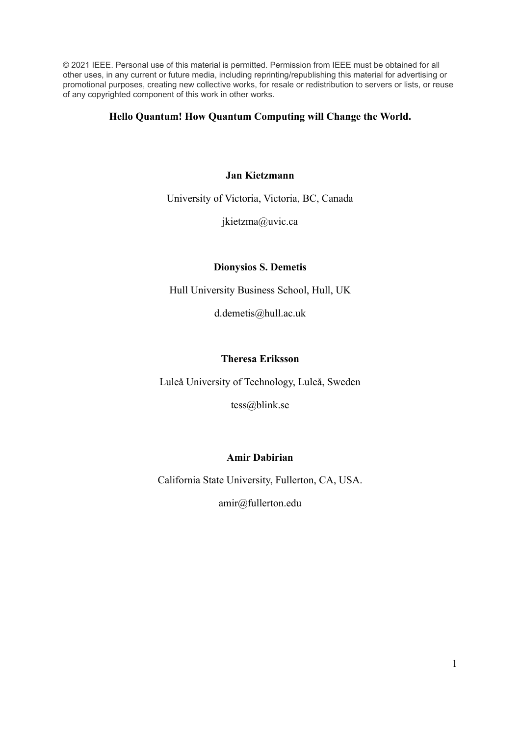© 2021 IEEE. Personal use of this material is permitted. Permission from IEEE must be obtained for all other uses, in any current or future media, including reprinting/republishing this material for advertising or promotional purposes, creating new collective works, for resale or redistribution to servers or lists, or reuse of any copyrighted component of this work in other works.

## **Hello Quantum! How Quantum Computing will Change the World.**

## **Jan Kietzmann**

University of Victoria, Victoria, BC, Canada

jkietzma@uvic.ca

## **Dionysios S. Demetis**

Hull University Business School, Hull, UK

d.demetis@hull.ac.uk

## **Theresa Eriksson**

Luleå University of Technology, Luleå, Sweden

tess@blink.se

## **Amir Dabirian**

California State University, Fullerton, CA, USA.

amir@fullerton.edu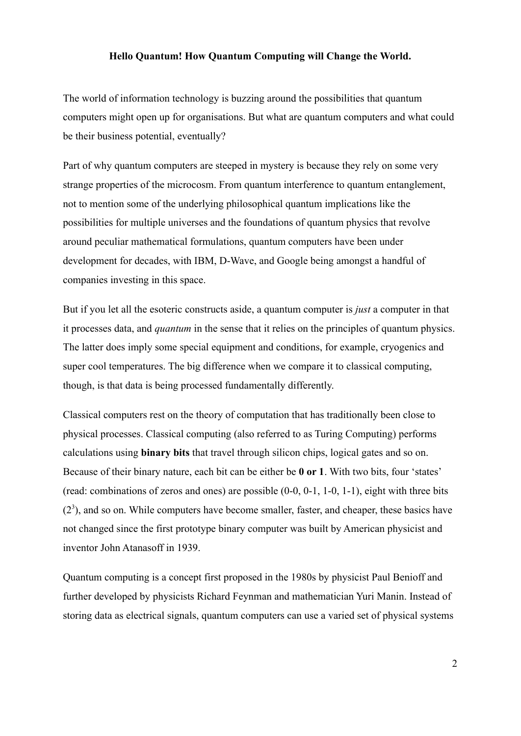#### **Hello Quantum! How Quantum Computing will Change the World.**

The world of information technology is buzzing around the possibilities that quantum computers might open up for organisations. But what are quantum computers and what could be their business potential, eventually?

Part of why quantum computers are steeped in mystery is because they rely on some very strange properties of the microcosm. From quantum interference to quantum entanglement, not to mention some of the underlying philosophical quantum implications like the possibilities for multiple universes and the foundations of quantum physics that revolve around peculiar mathematical formulations, quantum computers have been under development for decades, with IBM, D-Wave, and Google being amongst a handful of companies investing in this space.

But if you let all the esoteric constructs aside, a quantum computer is *just* a computer in that it processes data, and *quantum* in the sense that it relies on the principles of quantum physics. The latter does imply some special equipment and conditions, for example, cryogenics and super cool temperatures. The big difference when we compare it to classical computing, though, is that data is being processed fundamentally differently.

Classical computers rest on the theory of computation that has traditionally been close to physical processes. Classical computing (also referred to as Turing Computing) performs calculations using **binary bits** that travel through silicon chips, logical gates and so on. Because of their binary nature, each bit can be either be **0 or 1**. With two bits, four 'states' (read: combinations of zeros and ones) are possible (0-0, 0-1, 1-0, 1-1), eight with three bits  $(2<sup>3</sup>)$ , and so on. While computers have become smaller, faster, and cheaper, these basics have not changed since the first prototype binary computer was built by American physicist and inventor John Atanasoff in 1939.

Quantum computing is a concept first proposed in the 1980s by physicist Paul Benioff and further developed by physicists Richard Feynman and mathematician Yuri Manin. Instead of storing data as electrical signals, quantum computers can use a varied set of physical systems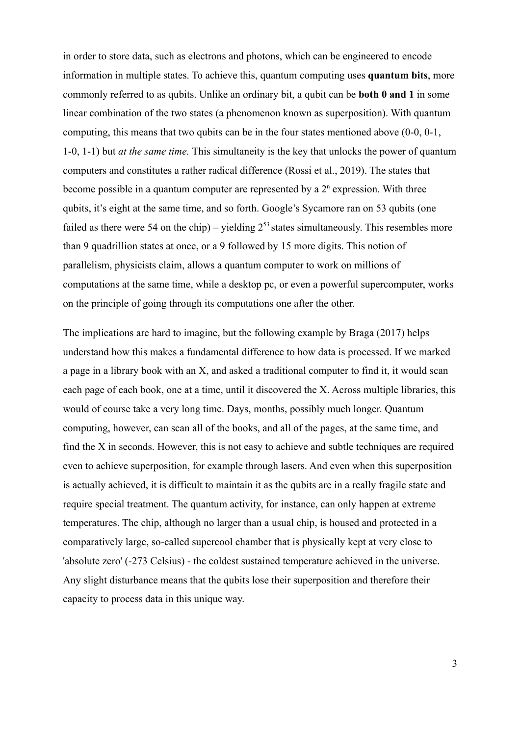in order to store data, such as electrons and photons, which can be engineered to encode information in multiple states. To achieve this, quantum computing uses **quantum bits**, more commonly referred to as qubits. Unlike an ordinary bit, a qubit can be **both 0 and 1** in some linear combination of the two states (a phenomenon known as superposition). With quantum computing, this means that two qubits can be in the four states mentioned above (0-0, 0-1, 1-0, 1-1) but *at the same time.* This simultaneity is the key that unlocks the power of quantum computers and constitutes a rather radical difference (Rossi et al., 2019). The states that become possible in a quantum computer are represented by a  $2<sup>n</sup>$  expression. With three qubits, it's eight at the same time, and so forth. Google's Sycamore ran on 53 qubits (one failed as there were 54 on the chip) – yielding  $2^{53}$  states simultaneously. This resembles more than 9 quadrillion states at once, or a 9 followed by 15 more digits. This notion of parallelism, physicists claim, allows a quantum computer to work on millions of computations at the same time, while a desktop pc, or even a powerful supercomputer, works on the principle of going through its computations one after the other.

The implications are hard to imagine, but the following example by Braga (2017) helps understand how this makes a fundamental difference to how data is processed. If we marked a page in a library book with an X, and asked a traditional computer to find it, it would scan each page of each book, one at a time, until it discovered the X. Across multiple libraries, this would of course take a very long time. Days, months, possibly much longer. Quantum computing, however, can scan all of the books, and all of the pages, at the same time, and find the X in seconds. However, this is not easy to achieve and subtle techniques are required even to achieve superposition, for example through lasers. And even when this superposition is actually achieved, it is difficult to maintain it as the qubits are in a really fragile state and require special treatment. The quantum activity, for instance, can only happen at extreme temperatures. The chip, although no larger than a usual chip, is housed and protected in a comparatively large, so-called supercool chamber that is physically kept at very close to 'absolute zero' (-273 Celsius) - the coldest sustained temperature achieved in the universe. Any slight disturbance means that the qubits lose their superposition and therefore their capacity to process data in this unique way.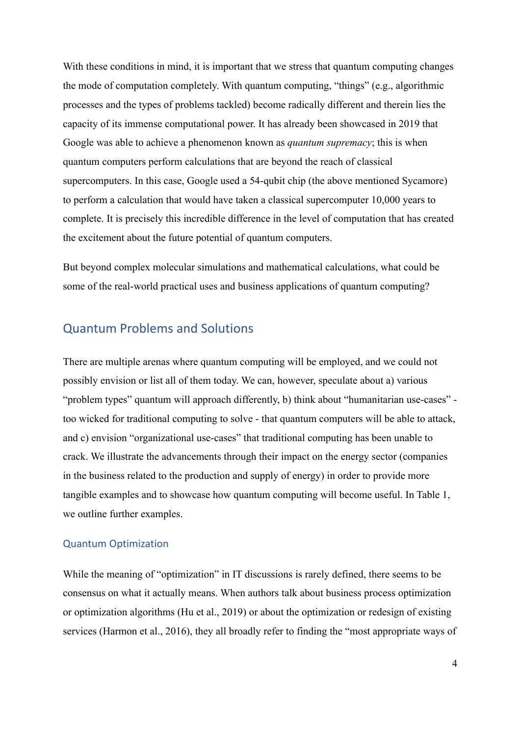With these conditions in mind, it is important that we stress that quantum computing changes the mode of computation completely. With quantum computing, "things" (e.g., algorithmic processes and the types of problems tackled) become radically different and therein lies the capacity of its immense computational power. It has already been showcased in 2019 that Google was able to achieve a phenomenon known as *quantum supremacy*; this is when quantum computers perform calculations that are beyond the reach of classical supercomputers. In this case, Google used a 54-qubit chip (the above mentioned Sycamore) to perform a calculation that would have taken a classical supercomputer 10,000 years to complete. It is precisely this incredible difference in the level of computation that has created the excitement about the future potential of quantum computers.

But beyond complex molecular simulations and mathematical calculations, what could be some of the real-world practical uses and business applications of quantum computing?

## Quantum Problems and Solutions

There are multiple arenas where quantum computing will be employed, and we could not possibly envision or list all of them today. We can, however, speculate about a) various "problem types" quantum will approach differently, b) think about "humanitarian use-cases" too wicked for traditional computing to solve - that quantum computers will be able to attack, and c) envision "organizational use-cases" that traditional computing has been unable to crack. We illustrate the advancements through their impact on the energy sector (companies in the business related to the production and supply of energy) in order to provide more tangible examples and to showcase how quantum computing will become useful. In Table 1, we outline further examples.

### Quantum Optimization

While the meaning of "optimization" in IT discussions is rarely defined, there seems to be consensus on what it actually means. When authors talk about business process optimization or optimization algorithms (Hu et al., 2019) or about the optimization or redesign of existing services (Harmon et al., 2016), they all broadly refer to finding the "most appropriate ways of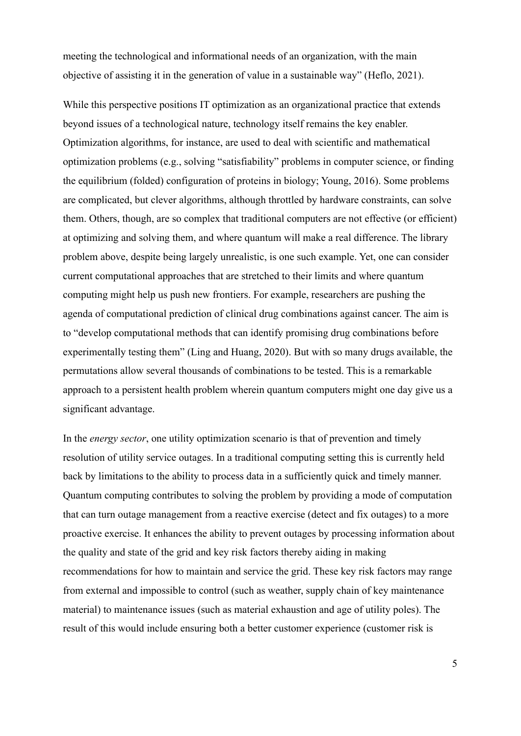meeting the technological and informational needs of an organization, with the main objective of assisting it in the generation of value in a sustainable way" (Heflo, 2021).

While this perspective positions IT optimization as an organizational practice that extends beyond issues of a technological nature, technology itself remains the key enabler. Optimization algorithms, for instance, are used to deal with scientific and mathematical optimization problems (e.g., solving "satisfiability" problems in computer science, or finding the equilibrium (folded) configuration of proteins in biology; Young, 2016). Some problems are complicated, but clever algorithms, although throttled by hardware constraints, can solve them. Others, though, are so complex that traditional computers are not effective (or efficient) at optimizing and solving them, and where quantum will make a real difference. The library problem above, despite being largely unrealistic, is one such example. Yet, one can consider current computational approaches that are stretched to their limits and where quantum computing might help us push new frontiers. For example, researchers are pushing the agenda of computational prediction of clinical drug combinations against cancer. The aim is to "develop computational methods that can identify promising drug combinations before experimentally testing them" (Ling and Huang, 2020). But with so many drugs available, the permutations allow several thousands of combinations to be tested. This is a remarkable approach to a persistent health problem wherein quantum computers might one day give us a significant advantage.

In the *energy sector*, one utility optimization scenario is that of prevention and timely resolution of utility service outages. In a traditional computing setting this is currently held back by limitations to the ability to process data in a sufficiently quick and timely manner. Quantum computing contributes to solving the problem by providing a mode of computation that can turn outage management from a reactive exercise (detect and fix outages) to a more proactive exercise. It enhances the ability to prevent outages by processing information about the quality and state of the grid and key risk factors thereby aiding in making recommendations for how to maintain and service the grid. These key risk factors may range from external and impossible to control (such as weather, supply chain of key maintenance material) to maintenance issues (such as material exhaustion and age of utility poles). The result of this would include ensuring both a better customer experience (customer risk is

5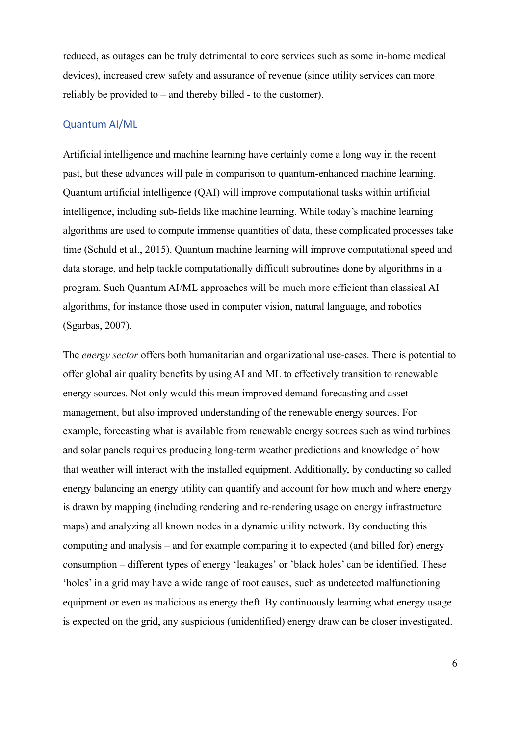reduced, as outages can be truly detrimental to core services such as some in-home medical devices), increased crew safety and assurance of revenue (since utility services can more reliably be provided to – and thereby billed - to the customer).

#### Quantum AI/ML

Artificial intelligence and machine learning have certainly come a long way in the recent past, but these advances will pale in comparison to quantum-enhanced machine learning. Quantum artificial intelligence (QAI) will improve computational tasks within artificial intelligence, including sub-fields like machine learning. While today's machine learning algorithms are used to compute immense quantities of data, these complicated processes take time (Schuld et al., 2015). Quantum machine learning will improve computational speed and data storage, and help tackle computationally difficult subroutines done by algorithms in a program. Such Quantum AI/ML approaches will be much more efficient than classical AI algorithms, for instance those used in computer vision, natural language, and robotics (Sgarbas, 2007).

The *energy sector* offers both humanitarian and organizational use-cases. There is potential to offer global air quality benefits by using AI and ML to effectively transition to renewable energy sources. Not only would this mean improved demand forecasting and asset management, but also improved understanding of the renewable energy sources. For example, forecasting what is available from renewable energy sources such as wind turbines and solar panels requires producing long-term weather predictions and knowledge of how that weather will interact with the installed equipment. Additionally, by conducting so called energy balancing an energy utility can quantify and account for how much and where energy is drawn by mapping (including rendering and re-rendering usage on energy infrastructure maps) and analyzing all known nodes in a dynamic utility network. By conducting this computing and analysis – and for example comparing it to expected (and billed for) energy consumption – different types of energy 'leakages' or 'black holes' can be identified. These 'holes' in a grid may have a wide range of root causes, such as undetected malfunctioning equipment or even as malicious as energy theft. By continuously learning what energy usage is expected on the grid, any suspicious (unidentified) energy draw can be closer investigated.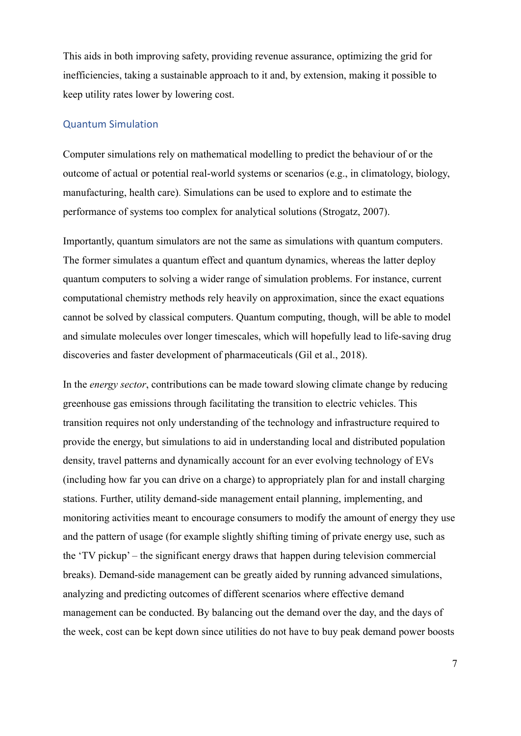This aids in both improving safety, providing revenue assurance, optimizing the grid for inefficiencies, taking a sustainable approach to it and, by extension, making it possible to keep utility rates lower by lowering cost.

#### Quantum Simulation

Computer simulations rely on mathematical modelling to predict the behaviour of or the outcome of actual or potential real-world systems or scenarios (e.g., in climatology, biology, manufacturing, health care). Simulations can be used to explore and to estimate the performance of systems too complex for analytical solutions (Strogatz, 2007).

Importantly, quantum simulators are not the same as simulations with quantum computers. The former simulates a quantum effect and quantum dynamics, whereas the latter deploy quantum computers to solving a wider range of simulation problems. For instance, current computational chemistry methods rely heavily on approximation, since the exact equations cannot be solved by classical computers. Quantum computing, though, will be able to model and simulate molecules over longer timescales, which will hopefully lead to life-saving drug discoveries and faster development of pharmaceuticals (Gil et al., 2018).

In the *energy sector*, contributions can be made toward slowing climate change by reducing greenhouse gas emissions through facilitating the transition to electric vehicles. This transition requires not only understanding of the technology and infrastructure required to provide the energy, but simulations to aid in understanding local and distributed population density, travel patterns and dynamically account for an ever evolving technology of EVs (including how far you can drive on a charge) to appropriately plan for and install charging stations. Further, utility demand-side management entail planning, implementing, and monitoring activities meant to encourage consumers to modify the amount of energy they use and the pattern of usage (for example slightly shifting timing of private energy use, such as the 'TV pickup' – the significant energy draws that happen during television commercial breaks). Demand-side management can be greatly aided by running advanced simulations, analyzing and predicting outcomes of different scenarios where effective demand management can be conducted. By balancing out the demand over the day, and the days of the week, cost can be kept down since utilities do not have to buy peak demand power boosts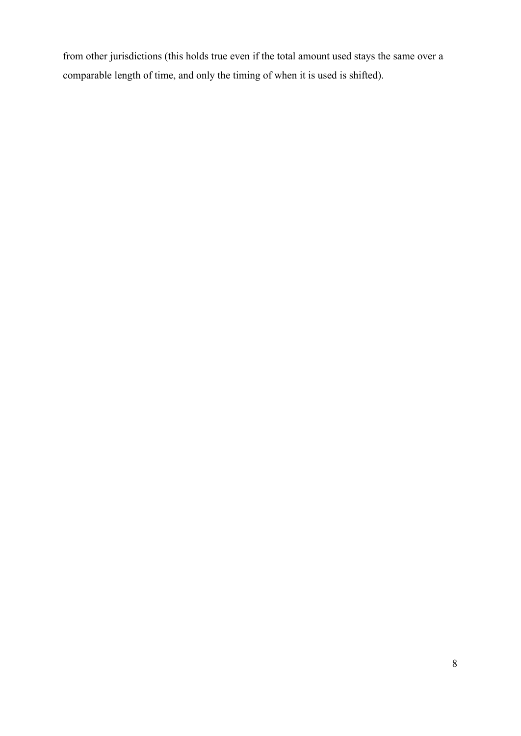from other jurisdictions (this holds true even if the total amount used stays the same over a comparable length of time, and only the timing of when it is used is shifted).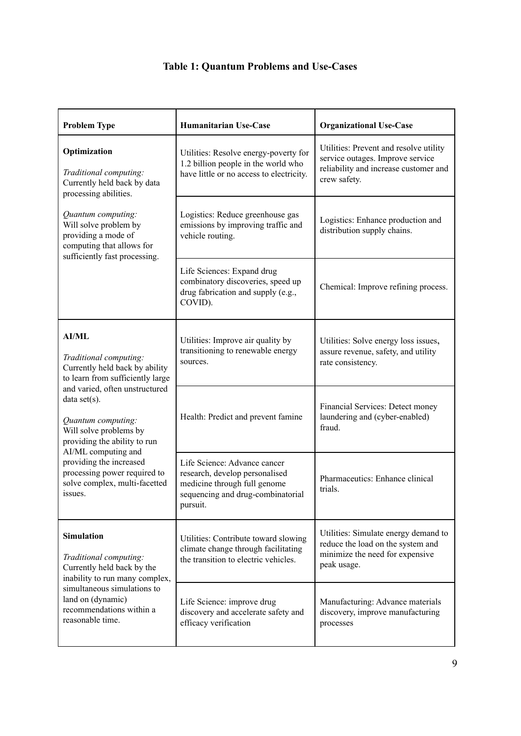# **Table 1: Quantum Problems and Use-Cases**

| <b>Problem Type</b>                                                                                                                                                                                                                                                                                                                                                          | <b>Humanitarian Use-Case</b>                                                                                                                    | <b>Organizational Use-Case</b>                                                                                                      |
|------------------------------------------------------------------------------------------------------------------------------------------------------------------------------------------------------------------------------------------------------------------------------------------------------------------------------------------------------------------------------|-------------------------------------------------------------------------------------------------------------------------------------------------|-------------------------------------------------------------------------------------------------------------------------------------|
| Optimization<br>Traditional computing:<br>Currently held back by data<br>processing abilities.<br>Quantum computing:<br>Will solve problem by<br>providing a mode of<br>computing that allows for<br>sufficiently fast processing.                                                                                                                                           | Utilities: Resolve energy-poverty for<br>1.2 billion people in the world who<br>have little or no access to electricity.                        | Utilities: Prevent and resolve utility<br>service outages. Improve service<br>reliability and increase customer and<br>crew safety. |
|                                                                                                                                                                                                                                                                                                                                                                              | Logistics: Reduce greenhouse gas<br>emissions by improving traffic and<br>vehicle routing.                                                      | Logistics: Enhance production and<br>distribution supply chains.                                                                    |
|                                                                                                                                                                                                                                                                                                                                                                              | Life Sciences: Expand drug<br>combinatory discoveries, speed up<br>drug fabrication and supply (e.g.,<br>COVID).                                | Chemical: Improve refining process.                                                                                                 |
| <b>AI/ML</b><br>Traditional computing:<br>Currently held back by ability<br>to learn from sufficiently large<br>and varied, often unstructured<br>data set(s).<br>Quantum computing:<br>Will solve problems by<br>providing the ability to run<br>AI/ML computing and<br>providing the increased<br>processing power required to<br>solve complex, multi-facetted<br>issues. | Utilities: Improve air quality by<br>transitioning to renewable energy<br>sources.                                                              | Utilities: Solve energy loss issues,<br>assure revenue, safety, and utility<br>rate consistency.                                    |
|                                                                                                                                                                                                                                                                                                                                                                              | Health: Predict and prevent famine                                                                                                              | Financial Services: Detect money<br>laundering and (cyber-enabled)<br>fraud.                                                        |
|                                                                                                                                                                                                                                                                                                                                                                              | Life Science: Advance cancer<br>research, develop personalised<br>medicine through full genome<br>sequencing and drug-combinatorial<br>pursuit. | Pharmaceutics: Enhance clinical<br>trials.                                                                                          |
| <b>Simulation</b><br>Traditional computing:<br>Currently held back by the<br>inability to run many complex,<br>simultaneous simulations to<br>land on (dynamic)<br>recommendations within a<br>reasonable time.                                                                                                                                                              | Utilities: Contribute toward slowing<br>climate change through facilitating<br>the transition to electric vehicles.                             | Utilities: Simulate energy demand to<br>reduce the load on the system and<br>minimize the need for expensive<br>peak usage.         |
|                                                                                                                                                                                                                                                                                                                                                                              | Life Science: improve drug<br>discovery and accelerate safety and<br>efficacy verification                                                      | Manufacturing: Advance materials<br>discovery, improve manufacturing<br>processes                                                   |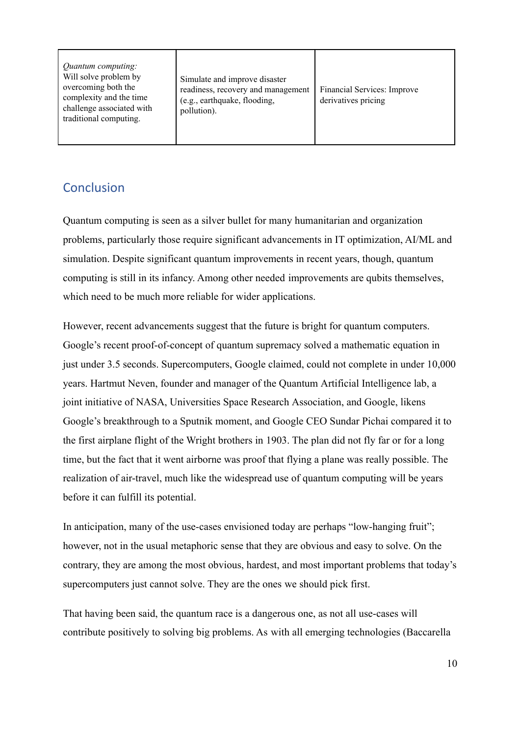| <i><u>Ouantum computing:</u></i><br>Will solve problem by<br>overcoming both the<br>complexity and the time<br>challenge associated with<br>traditional computing. | Simulate and improve disaster<br>readiness, recovery and management<br>(e.g., earthquake, flooding,<br>pollution). | Financial Services: Improve<br>derivatives pricing |
|--------------------------------------------------------------------------------------------------------------------------------------------------------------------|--------------------------------------------------------------------------------------------------------------------|----------------------------------------------------|
|--------------------------------------------------------------------------------------------------------------------------------------------------------------------|--------------------------------------------------------------------------------------------------------------------|----------------------------------------------------|

# **Conclusion**

Quantum computing is seen as a silver bullet for many humanitarian and organization problems, particularly those require significant advancements in IT optimization, AI/ML and simulation. Despite significant quantum improvements in recent years, though, quantum computing is still in its infancy. Among other needed improvements are qubits themselves, which need to be much more reliable for wider applications.

However, recent advancements suggest that the future is bright for quantum computers. Google's recent proof-of-concept of quantum supremacy solved a mathematic equation in just under 3.5 seconds. Supercomputers, Google claimed, could not complete in under 10,000 years. Hartmut Neven, founder and manager of the Quantum Artificial Intelligence lab, a joint initiative of NASA, Universities Space Research Association, and Google, likens Google's breakthrough to a Sputnik moment, and Google CEO Sundar Pichai compared it to the first airplane flight of the Wright brothers in 1903. The plan did not fly far or for a long time, but the fact that it went airborne was proof that flying a plane was really possible. The realization of air-travel, much like the widespread use of quantum computing will be years before it can fulfill its potential.

In anticipation, many of the use-cases envisioned today are perhaps "low-hanging fruit"; however, not in the usual metaphoric sense that they are obvious and easy to solve. On the contrary, they are among the most obvious, hardest, and most important problems that today's supercomputers just cannot solve. They are the ones we should pick first.

That having been said, the quantum race is a dangerous one, as not all use-cases will contribute positively to solving big problems. As with all emerging technologies (Baccarella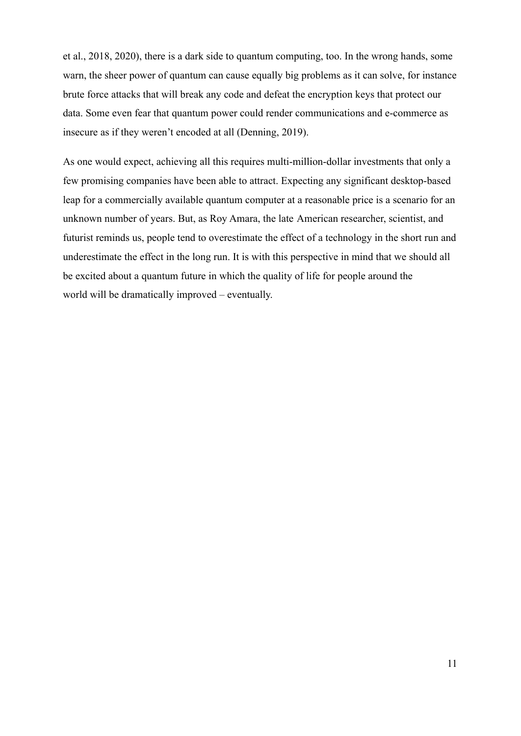et al., 2018, 2020), there is a dark side to quantum computing, too. In the wrong hands, some warn, the sheer power of quantum can cause equally big problems as it can solve, for instance brute force attacks that will break any code and defeat the encryption keys that protect our data. Some even fear that quantum power could render communications and e-commerce as insecure as if they weren't encoded at all (Denning, 2019).

As one would expect, achieving all this requires multi-million-dollar investments that only a few promising companies have been able to attract. Expecting any significant desktop-based leap for a commercially available quantum computer at a reasonable price is a scenario for an unknown number of years. But, as Roy Amara, the late American researcher, scientist, and futurist reminds us, people tend to overestimate the effect of a technology in the short run and underestimate the effect in the long run. It is with this perspective in mind that we should all be excited about a quantum future in which the quality of life for people around the world will be dramatically improved – eventually.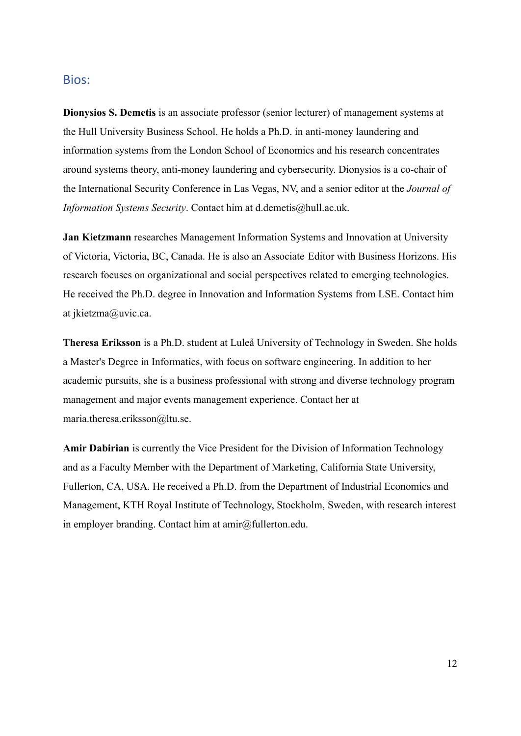### Bios:

**Dionysios S. Demetis** is an associate professor (senior lecturer) of management systems at the Hull University Business School. He holds a Ph.D. in anti-money laundering and information systems from the London School of Economics and his research concentrates around systems theory, anti-money laundering and cybersecurity. Dionysios is a co-chair of the International Security Conference in Las Vegas, NV, and a senior editor at the *Journal of Information Systems Security*. Contact him at d.demetis@hull.ac.uk.

**Jan Kietzmann** researches Management Information Systems and Innovation at University of Victoria, Victoria, BC, Canada. He is also an Associate Editor with Business Horizons. His research focuses on organizational and social perspectives related to emerging technologies. He received the Ph.D. degree in Innovation and Information Systems from LSE. Contact him at jkietzma@uvic.ca.

**Theresa Eriksson** is a Ph.D. student at Luleå University of Technology in Sweden. She holds a Master's Degree in Informatics, with focus on software engineering. In addition to her academic pursuits, she is a business professional with strong and diverse technology program management and major events management experience. Contact her at maria.theresa.eriksson@ltu.se.

**Amir Dabirian** is currently the Vice President for the Division of Information Technology and as a Faculty Member with the Department of Marketing, California State University, Fullerton, CA, USA. He received a Ph.D. from the Department of Industrial Economics and Management, KTH Royal Institute of Technology, Stockholm, Sweden, with research interest in employer branding. Contact him at  $amir@full$ erton.edu.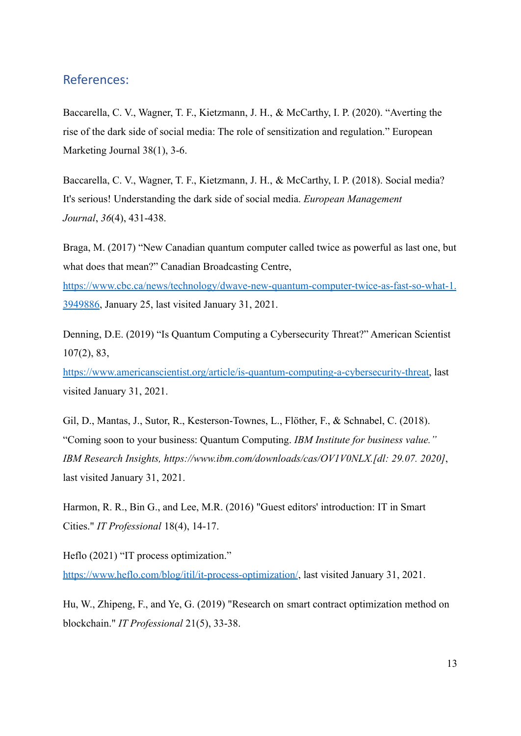## References:

Baccarella, C. V., Wagner, T. F., Kietzmann, J. H., & McCarthy, I. P. (2020). "Averting the rise of the dark side of social media: The role of sensitization and regulation." European Marketing Journal 38(1), 3-6.

Baccarella, C. V., Wagner, T. F., Kietzmann, J. H., & McCarthy, I. P. (2018). Social media? It's serious! Understanding the dark side of social media. *European Management Journal*, *36*(4), 431-438.

Braga, M. (2017) "New Canadian quantum computer called twice as powerful as last one, but what does that mean?" Canadian Broadcasting Centre,

[https://www.cbc.ca/news/technology/dwave-new-quantum-computer-twice-as-fast-so-what-1.](https://www.cbc.ca/news/technology/dwave-new-quantum-computer-twice-as-fast-so-what-1.3949886) [3949886](https://www.cbc.ca/news/technology/dwave-new-quantum-computer-twice-as-fast-so-what-1.3949886), January 25, last visited January 31, 2021.

Denning, D.E. (2019) "Is Quantum Computing a Cybersecurity Threat?" American Scientist 107(2), 83,

[https://www.americanscientist.org/article/is-quantum-computing-a-cybersecurity-threat,](https://www.americanscientist.org/article/is-quantum-computing-a-cybersecurity-threat) last visited January 31, 2021.

Gil, D., Mantas, J., Sutor, R., Kesterson-Townes, L., Flöther, F., & Schnabel, C. (2018). "Coming soon to your business: Quantum Computing. *IBM Institute for business value." IBM Research Insights, https://www.ibm.com/downloads/cas/OV1V0NLX.[dl: 29.07. 2020]*, last visited January 31, 2021.

Harmon, R. R., Bin G., and Lee, M.R. (2016) "Guest editors' introduction: IT in Smart Cities." *IT Professional* 18(4), 14-17.

Heflo (2021) "IT process optimization." <https://www.heflo.com/blog/itil/it-process-optimization/>, last visited January 31, 2021.

Hu, W., Zhipeng, F., and Ye, G. (2019) "Research on smart contract optimization method on blockchain." *IT Professional* 21(5), 33-38.